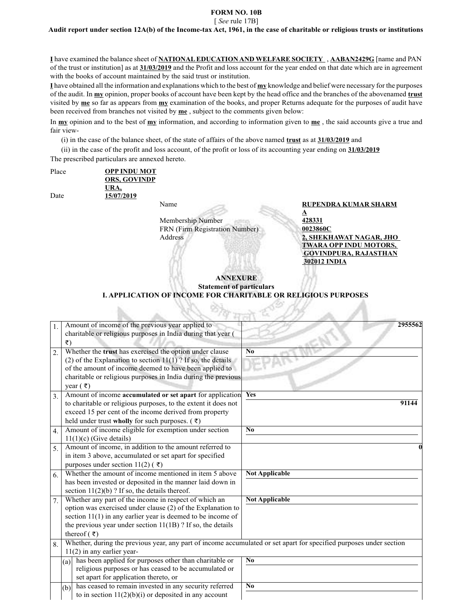#### **FORM NO. 10B** [ *See* rule 17B]

#### **Audit report under section 12A(b) of the Income-tax Act, 1961, in the case of charitable or religious trusts or institutions**

**I** have examined the balance sheet of **NATIONALEDUCATION AND WELFARE SOCIETY** , **AABAN2429G** [name and PAN of the trust or institution] as at **31/03/2019** and the Profit and loss account for the year ended on that date which are in agreement with the books of account maintained by the said trust or institution.

**I** have obtained all the information and explanations which to the best of **my** knowledge and belief were necessary for the purposes of the audit. In **my** opinion, proper books of account have been kept by the head office and the branches of the abovenamed **trust** visited by **me** so far as appears from **my** examination of the books, and proper Returns adequate for the purposes of audit have been received from branches not visited by **me** , subject to the comments given below:

In **my** opinion and to the best of **my** information, and according to information given to **me** , the said accounts give a true and fair view-

(i) in the case of the balance sheet, of the state of affairs of the above named **trust** as at **31/03/2019** and

(ii) in the case of the profit and loss account, of the profit or loss of its accounting year ending on **31/03/2019** The prescribed particulars are annexed hereto.

| Place | <b>OPP INDU MOT</b> |
|-------|---------------------|
|       | <b>ORS, GOVINDP</b> |
|       | URA,                |
| Date  | 15/07/2019          |

**Membership Number** FRN (Firm Registration Number) **0023860C** Address **2, SHEKHAWAT NAGAR, JHO**

Name **RUPENDRA KUMAR SHARM**

<u>A</u><br>428331 **TWARA OPP INDU MOTORS, GOVINDPURA, RAJASTHAN 302012 INDIA**

#### **ANNEXURE**

**Statement of particulars I. APPLICATION OF INCOME FOR CHARITABLE OR RELIGIOUS PURPOSES**

| 1.               | Amount of income of the previous year applied to                                                                    | 2955562               |
|------------------|---------------------------------------------------------------------------------------------------------------------|-----------------------|
|                  | charitable or religious purposes in India during that year (                                                        |                       |
|                  | ₹)                                                                                                                  |                       |
| 2.               | Whether the trust has exercised the option under clause                                                             | No                    |
|                  | (2) of the Explanation to section $11(1)$ ? If so, the details                                                      |                       |
|                  | of the amount of income deemed to have been applied to                                                              |                       |
|                  | charitable or religious purposes in India during the previous                                                       |                       |
|                  | year $(\bar{\mathbf{x}})$                                                                                           |                       |
|                  | Amount of income accumulated or set apart for application                                                           | Yes                   |
| $\overline{3}$ . |                                                                                                                     | 91144                 |
|                  | to charitable or religious purposes, to the extent it does not                                                      |                       |
|                  | exceed 15 per cent of the income derived from property                                                              |                       |
|                  | held under trust wholly for such purposes. $(3)$                                                                    |                       |
| $\overline{4}$ . | Amount of income eligible for exemption under section                                                               | N <sub>0</sub>        |
|                  | $11(1)(c)$ (Give details)                                                                                           |                       |
| 5.               | Amount of income, in addition to the amount referred to                                                             |                       |
|                  | in item 3 above, accumulated or set apart for specified                                                             |                       |
|                  | purposes under section 11(2) (₹)                                                                                    |                       |
| 6.               | Whether the amount of income mentioned in item 5 above                                                              | <b>Not Applicable</b> |
|                  | has been invested or deposited in the manner laid down in                                                           |                       |
|                  | section $11(2)(b)$ ? If so, the details thereof.                                                                    |                       |
| 7.               | Whether any part of the income in respect of which an                                                               | <b>Not Applicable</b> |
|                  | option was exercised under clause (2) of the Explanation to                                                         |                       |
|                  | section $11(1)$ in any earlier year is deemed to be income of                                                       |                       |
|                  | the previous year under section $11(1B)$ ? If so, the details                                                       |                       |
|                  | thereof $(\bar{\zeta})$                                                                                             |                       |
| 8.               | Whether, during the previous year, any part of income accumulated or set apart for specified purposes under section |                       |
|                  | $11(2)$ in any earlier year-                                                                                        |                       |
|                  | $(a)$ has been applied for purposes other than charitable or                                                        | N <sub>0</sub>        |
|                  | religious purposes or has ceased to be accumulated or                                                               |                       |
|                  | set apart for application thereto, or                                                                               |                       |
|                  | has ceased to remain invested in any security referred                                                              | No                    |
|                  | (b)<br>to in section $11(2)(b)(i)$ or deposited in any account                                                      |                       |
|                  |                                                                                                                     |                       |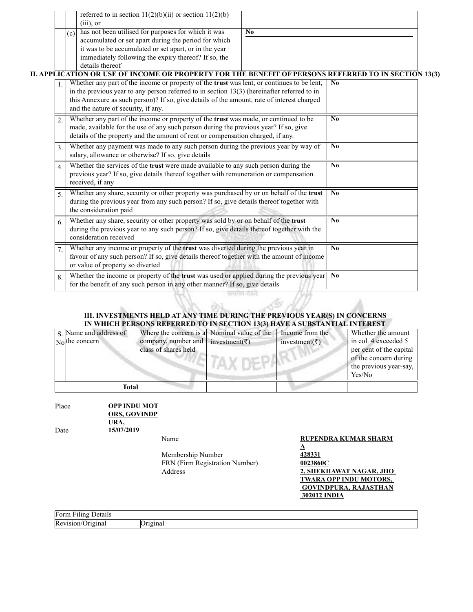|                |     | referred to in section $11(2)(b)(ii)$ or section $11(2)(b)$<br>$(iii)$ , or                                                                                                                                                                                                                                                      |                        |                        |
|----------------|-----|----------------------------------------------------------------------------------------------------------------------------------------------------------------------------------------------------------------------------------------------------------------------------------------------------------------------------------|------------------------|------------------------|
|                | (c) | has not been utilised for purposes for which it was<br>No<br>accumulated or set apart during the period for which<br>it was to be accumulated or set apart, or in the year<br>immediately following the expiry thereof? If so, the<br>details thereof                                                                            |                        |                        |
|                |     | II. APPLICATION OR USE OF INCOME OR PROPERTY FOR THE BENEFIT OF PERSONS REFERRED TO IN SECTION 13(3)                                                                                                                                                                                                                             |                        |                        |
|                |     | Whether any part of the income or property of the trust was lent, or continues to be lent,<br>in the previous year to any person referred to in section $13(3)$ (hereinafter referred to in<br>this Annexure as such person)? If so, give details of the amount, rate of interest charged<br>and the nature of security, if any. |                        | N <sub>0</sub>         |
| $\overline{2}$ |     | Whether any part of the income or property of the trust was made, or continued to be<br>made, available for the use of any such person during the previous year? If so, give<br>details of the property and the amount of rent or compensation charged, if any.                                                                  |                        | $\bf No$               |
| 3.             |     | Whether any payment was made to any such person during the previous year by way of<br>salary, allowance or otherwise? If so, give details                                                                                                                                                                                        | $\bf No$               |                        |
| 4.             |     | Whether the services of the trust were made available to any such person during the<br>previous year? If so, give details thereof together with remuneration or compensation<br>received, if any                                                                                                                                 | $\overline{\text{No}}$ |                        |
| 5.             |     | Whether any share, security or other property was purchased by or on behalf of the trust<br>during the previous year from any such person? If so, give details thereof together with<br>the consideration paid                                                                                                                   |                        | $\overline{N_0}$       |
| 6.             |     | Whether any share, security or other property was sold by or on behalf of the trust<br>during the previous year to any such person? If so, give details thereof together with the<br>consideration received                                                                                                                      |                        | N <sub>0</sub>         |
| $\overline{7}$ |     | Whether any income or property of the trust was diverted during the previous year in<br>favour of any such person? If so, give details thereof together with the amount of income<br>or value of property so diverted                                                                                                            |                        | $\overline{N_0}$       |
| 8.             |     | Whether the income or property of the trust was used or applied during the previous year<br>for the benefit of any such person in any other manner? If so, give details                                                                                                                                                          |                        | $\mathbf{N}\mathbf{0}$ |

#### **III. INVESTMENTS HELD AT ANY TIME DURING THE PREVIOUS YEAR(S) IN CONCERNS IN WHICH PERSONS REFERRED TO IN SECTION 13(3) HAVE A SUBSTANTIAL INTEREST**

建筑机 流浪

C.

|       | S. Name and address of | Where the concern is a Nominal value of the |                         | Income from the                 | Whether the amount                                                                                           |
|-------|------------------------|---------------------------------------------|-------------------------|---------------------------------|--------------------------------------------------------------------------------------------------------------|
|       | $\vert$ Nothe concern  | company, number and<br>class of shares held | investment( $\bar{z}$ ) | investment( $\overline{\tau}$ ) | in col. 4 exceeded 5<br>per cent of the capital<br>of the concern during<br>the previous year-say,<br>Yes/No |
| Total |                        |                                             |                         |                                 |                                                                                                              |

Place **OPP INDU MOT ORS, GOVINDP URA,**

Date **15/07/2019**

Name **RUPENDRA KUMAR SHARM**

 **302012 INDIA**

Membership Number **428331**<br>FRN (Firm Registration Number) **42833600** FRN (Firm Registration Number)<br>Address

# $\frac{A}{428331}$ **2, SHEKHAWAT NAGAR, JHO TWARA OPP INDU MOTORS, GOVINDPURA, RAJASTHAN**

| -<br>Form Filn.<br>1ling<br>$\sim$<br>etails |  |
|----------------------------------------------|--|
| ∽.<br>Rev "<br>lrı aına                      |  |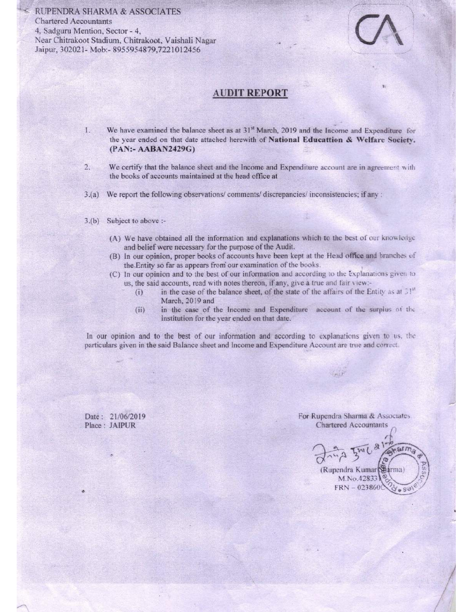RUPENDRA SHARMA & ASSOCIATES **Chartered Accountants** 4. Sadguru Mention, Sector - 4. Near Chitrakoot Stadium, Chitrakoot, Vaishali Nagar Jaipur, 302021- Mob:- 8955954879,7221012456



### **AUDIT REPORT**

- We have examined the balance sheet as at 31<sup>st</sup> March, 2019 and the Income and Expenditure for I. the year ended on that date attached herewith of National Educattion & Welfare Society. (PAN:- AABAN2429G)
- $2.$ We certify that the balance sheet and the Income and Expenditure account are in agreement with the books of accounts maintained at the head office at
- We report the following observations/comments/discrepancies/inconsistencies; if any:  $3.(a)$
- Subject to above :- $3.(b)$ 
	- (A) We have obtained all the information and explanations which to the best of our knowledge and belief were necessary for the purpose of the Audit.
	- (B) In our opinion, proper books of accounts have been kept at the Head office and branches of the Entity so far as appears from our examination of the books.
	- (C) In our opinion and to the best of our information and according to the explanations given to us, the said accounts, read with notes thereon, if any, give a true and fair view:
		- in the case of the balance sheet, of the state of the affairs of the Entity as at  $\Im^{10}$  $(i)$ March, 2019 and
		- $(ii)$ in the case of the Income and Expenditure account of the surplus of the institution for the year ended on that date.

In our opinion and to the best of our information and according to explanations given to us, the particulars given in the said Balance sheet and Income and Expenditure Account are true and correct.

Date: 21/06/2019 Place: JAIPUR

For Rupendra Sharma & Associates. **Chartered Accountants** 

m1  $airm$ (Rupendra Kumar Starma) M.No.42833  $FRN - 0238600$  $Y \bullet S$ a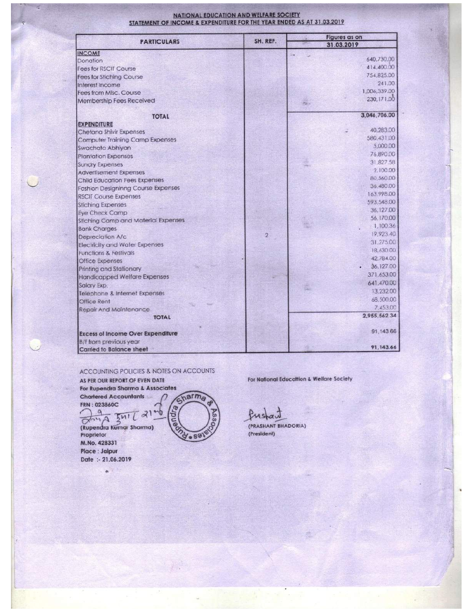#### **NATIONAL EDUCATION AND WELFARE SOCIETY** STATEMENT OF INCOME & EXPENDITURE FOR THE YEAR ENDED AS AT 31.03.2019

| <b>PARTICULARS</b>                        | SH. REF.       | <b>Figures as on</b><br>31.03.2019 |  |              |
|-------------------------------------------|----------------|------------------------------------|--|--------------|
| <b>INCOME</b>                             |                |                                    |  |              |
| Donation                                  |                |                                    |  | 640,730.00   |
| <b>Fees for RSCIT Course</b>              |                |                                    |  | 414,400.00   |
| <b>Fees for Stiching Course</b>           |                |                                    |  | 754,825.00   |
| Interest Income                           |                |                                    |  | 241.00       |
| Fees from Misc. Course                    |                |                                    |  | 1,006,339.00 |
| Membership Fees Received                  |                | <b>PARTICI</b>                     |  | 230, 171.00  |
| <b>TOTAL</b>                              |                |                                    |  | 3,046,706.00 |
| <b>EXPENDITURE</b>                        |                |                                    |  |              |
| Chetana Shivir Expenses                   |                |                                    |  | 40,283.00    |
| <b>Computer Training Camp Expenses</b>    |                |                                    |  | 580.431.00   |
| Swachata Abhiyan                          |                |                                    |  | 5.000.00     |
| <b>Plantation Expenses</b>                |                |                                    |  | 76,890.00    |
| <b>Sundry Expenses</b>                    |                |                                    |  | 31,827.58    |
| <b>Advertisement Expenses</b>             |                |                                    |  | 2,100.00     |
| <b>Child Education Fees Expenses</b>      |                |                                    |  | 80,560.00    |
| <b>Fashion Designinng Course Expenses</b> |                |                                    |  | 36.480.00    |
| <b>RSCIT Course Expenses</b>              |                |                                    |  | 163.998.00   |
| <b>Stiching Expenses</b>                  |                |                                    |  | 593,548.00   |
| <b>Eye Check Camp</b>                     |                |                                    |  | 36,127.00    |
| Stiching Camp and Material Expenses       |                |                                    |  | 56.170.00    |
| <b>Bank Charges</b>                       |                |                                    |  | 1,100.36     |
| Depreciation A/c                          | $\overline{2}$ |                                    |  | 19,923.40    |
| <b>Electricity and Water Expenses</b>     |                |                                    |  | 31,275.00    |
| <b>Functions &amp; Festivals</b>          |                |                                    |  | 18,630.00    |
| Office Expenses                           |                |                                    |  | 42,784.00    |
| Printing and Stationary                   |                |                                    |  | 36,127.00    |
| Handicapped Welfare Expenses              |                |                                    |  | 371.653.00   |
| Salary Exp.                               |                |                                    |  | 641.470.00   |
| Telephone & Internet Expenses             |                |                                    |  | 13.232.00    |
| Office Rent                               |                |                                    |  | 68,500.00    |
| Repair And Maintenance                    |                |                                    |  | 7,453.00     |
| <b>TOTAL</b>                              |                |                                    |  | 2,955,562.34 |
| <b>Excess of Income Over Expenditure</b>  |                |                                    |  | 91,143 66    |
| <b>B/f from previous year</b>             |                |                                    |  |              |
| Carried to Balance sheet                  |                |                                    |  | 91,143.66    |

#### ACCOUNTING POLICIES & NOTES ON ACCOUNTS

AS PER OUR REPORT OF EVEN DATE For Rupendra Sharma & Associates Gharma **Chartered Accountants FRN: 023860C**  $\mathbf{a}$ מי (Rupendra Kumar Sharma)  $\alpha$ τ Proprietor

 $•89$ 

For National Education & Welfare Society

(PRASHANT BHADORIA) (President)

M.No. 428331 Place : Jaipur Date :- 21.06.2019

 $\bullet$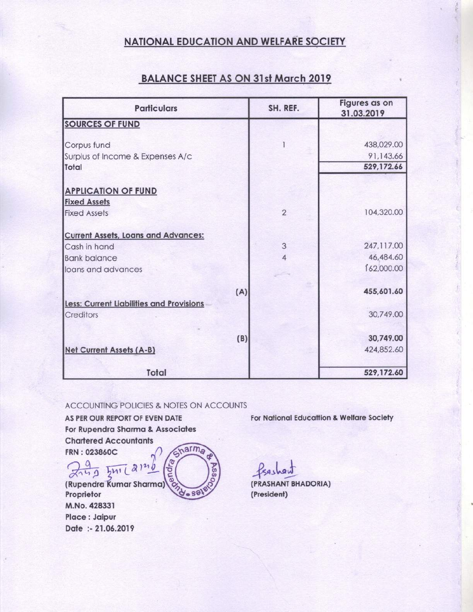# **NATIONAL EDUCATION AND WELFARE SOCIETY**

# **BALANCE SHEET AS ON 31st March 2019**

| <b>Particulars</b>                              | SH. REF.       | Figures as on<br>31.03.2019 |
|-------------------------------------------------|----------------|-----------------------------|
| <b>SOURCES OF FUND</b>                          |                |                             |
|                                                 |                |                             |
| Corpus fund                                     |                | 438,029.00                  |
| Surplus of Income & Expenses A/c                |                | 91,143.66                   |
| Total                                           |                | 529,172.66                  |
| <b>APPLICATION OF FUND</b>                      |                |                             |
| <b>Fixed Assets</b>                             |                |                             |
| <b>Fixed Assets</b>                             | $\overline{2}$ | 104,320.00                  |
| <b>Current Assets, Loans and Advances:</b>      |                |                             |
| Cash in hand                                    | 3              | 247,117.00                  |
| <b>Bank balance</b>                             | 4              | 46,484.60                   |
| loans and advances                              |                | 162,000.00                  |
|                                                 | (A)            | 455,601.60                  |
| <b>Less: Current Liabilities and Provisions</b> |                |                             |
| Creditors                                       |                | 30,749.00                   |
|                                                 | (B)            | 30,749.00                   |
| <b>Net Current Assets (A-B)</b>                 |                | 424,852.60                  |
| Total                                           |                | 529,172.60                  |

ACCOUNTING POLICIES & NOTES ON ACCOUNTS

AS PER OUR REPORT OF EVEN DATE For Rupendra Sharma & Associates **Chartered Accountants** Sharma FRN: 023860C Edmul say  $2\frac{9}{2140}$   $\frac{5}{2}$   $\frac{1}{2}$ 

(PRASHANT BHADORIA) (President)

For National Educattion & Welfare Society

(Rupendra Kumar Sharma) Proprietor M.No. 428331 Place : Jaipur Date: - 21.06.2019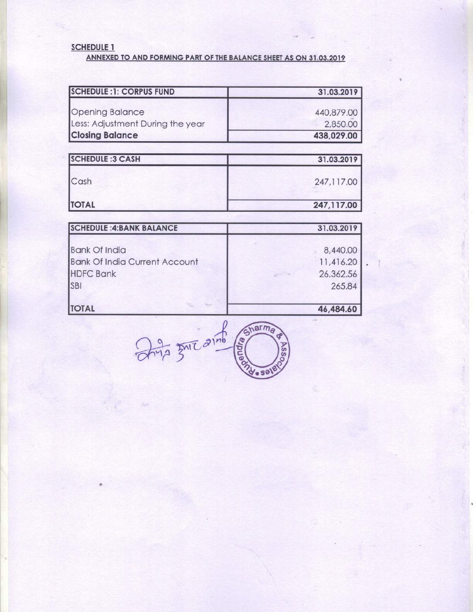## **SCHEDULE 1**

ANNEXED TO AND FORMING PART OF THE BALANCE SHEET AS ON 31.03.2019

| <b>SCHEDULE : 1: CORPUS FUND</b> | 31.03.2019 |
|----------------------------------|------------|
| <b>Opening Balance</b>           | 440,879.00 |
| Less: Adjustment During the year | 2,850.00   |
| <b>Closing Balance</b>           | 438,029.00 |
| <b>SCHEDULE:3 CASH</b>           | 31.03.2019 |
|                                  |            |
| Cash                             | 247,117.00 |
| <b>TOTAL</b>                     | 247,117.00 |
| <b>SCHEDULE: 4: BANK BALANCE</b> | 31.03.2019 |

| <b>ISCHLDULE . R.DAINN DALANGE</b>   | J1.03.2011 |
|--------------------------------------|------------|
|                                      |            |
| <b>Bank Of India</b>                 | 8,440.00   |
| <b>Bank Of India Current Account</b> | 11,416.20  |
| <b>HDFC Bank</b>                     | 26,362.56  |
| <b>SBI</b>                           | 265.84     |
| <b>TOTAL</b>                         | 46,484.60  |
|                                      |            |

July 3mi 21mb **BORTHOLD SPIE ASSO**